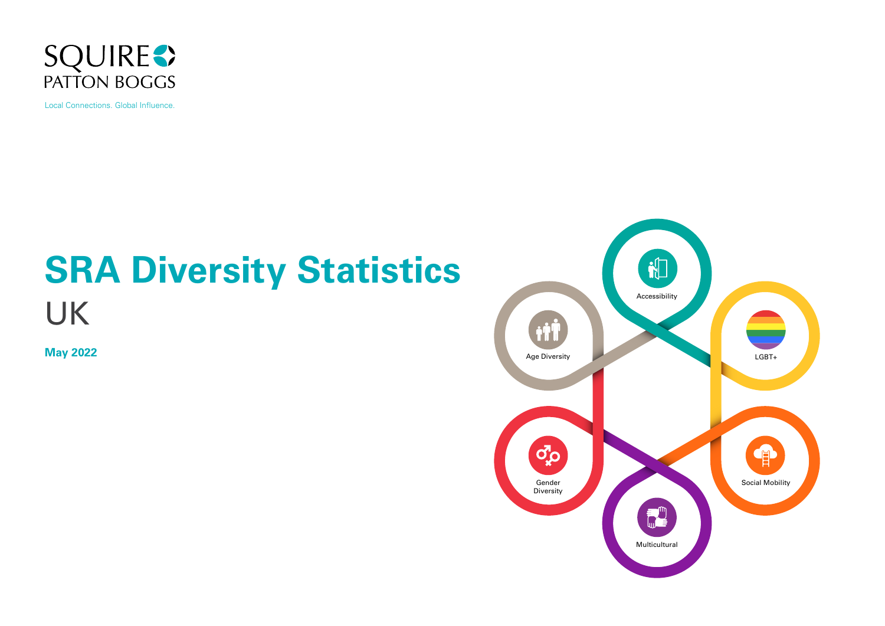

Local Connections. Global Influence.

# **SRA Diversity Statistics** UK

**May 2022**

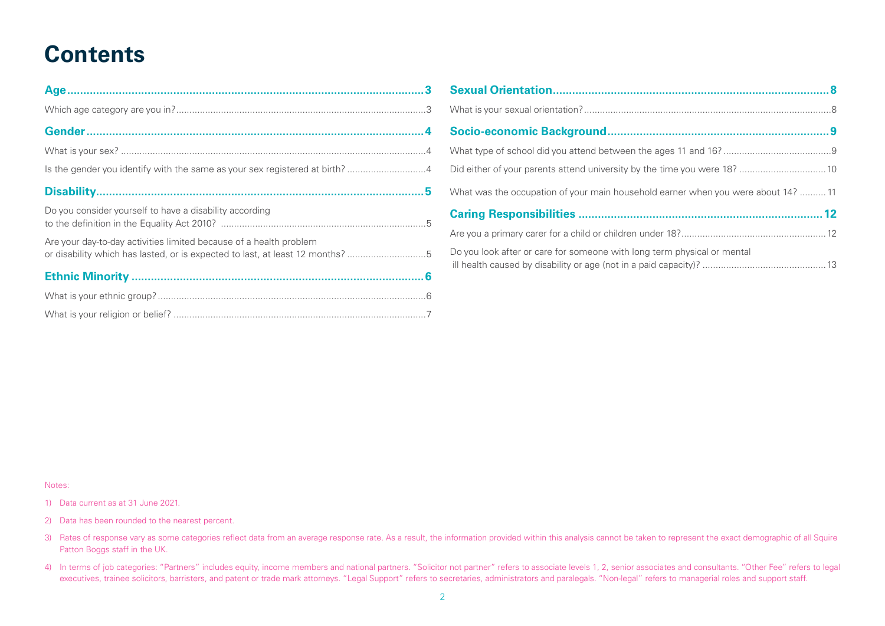#### **Contents**

| Do you consider yourself to have a disability according                                                                                             |  |
|-----------------------------------------------------------------------------------------------------------------------------------------------------|--|
| Are your day-to-day activities limited because of a health problem<br>or disability which has lasted, or is expected to last, at least 12 months? 5 |  |
|                                                                                                                                                     |  |
|                                                                                                                                                     |  |
|                                                                                                                                                     |  |

| What was the occupation of your main household earner when you were about 14?  11 |  |
|-----------------------------------------------------------------------------------|--|
|                                                                                   |  |
|                                                                                   |  |
| Do you look after or care for someone with long term physical or mental           |  |

#### Notes:

1) Data current as at 31 June 2021.

- 2) Data has been rounded to the nearest percent.
- 3) Rates of response vary as some categories reflect data from an average response rate. As a result, the information provided within this analysis cannot be taken to represent the exact demographic of all Squire Patton Boggs staff in the UK.
- 4) In terms of job categories: "Partners" includes equity, income members and national partners. "Solicitor not partner" refers to associate levels 1, 2, senior associates and consultants. "Other Fee" refers to legal executives, trainee solicitors, barristers, and patent or trade mark attorneys. "Legal Support" refers to secretaries, administrators and paralegals. "Non-legal" refers to managerial roles and support staff.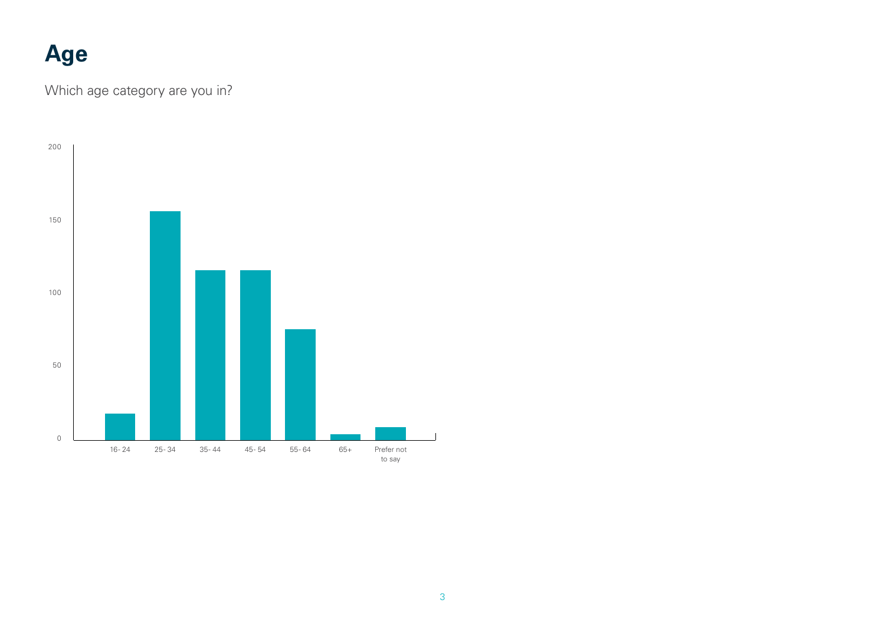# <span id="page-2-0"></span>**Age**

Which age category are you in?

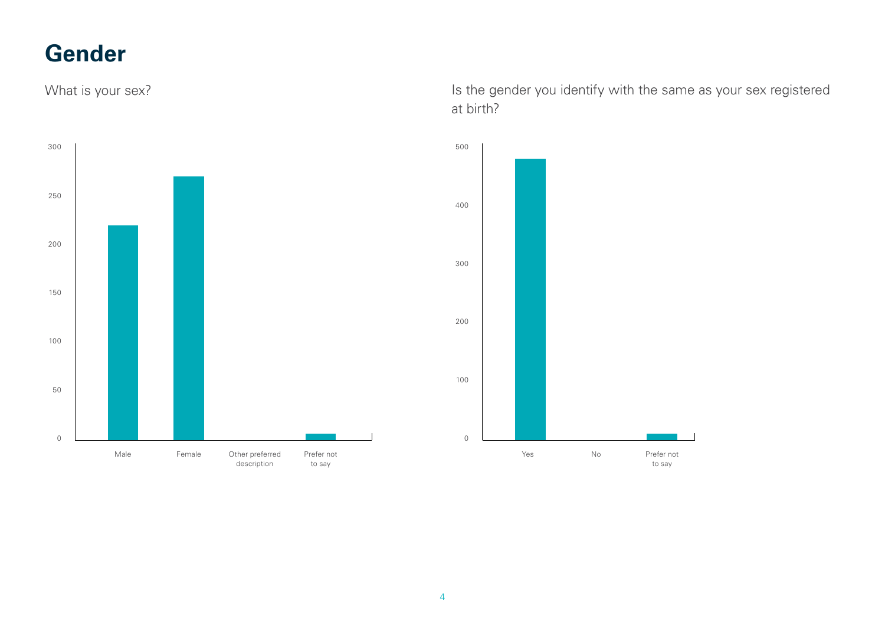#### <span id="page-3-0"></span>**Gender**



What is your sex? Is the gender you identify with the same as your sex registered at birth?

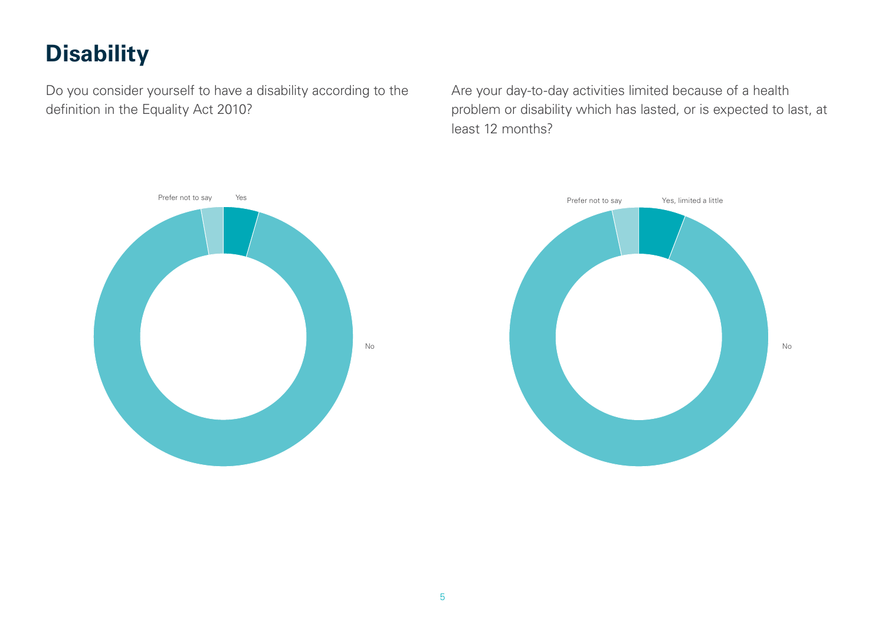# <span id="page-4-0"></span>**Disability**

Do you consider yourself to have a disability according to the definition in the Equality Act 2010?

Are your day-to-day activities limited because of a health problem or disability which has lasted, or is expected to last, at least 12 months?



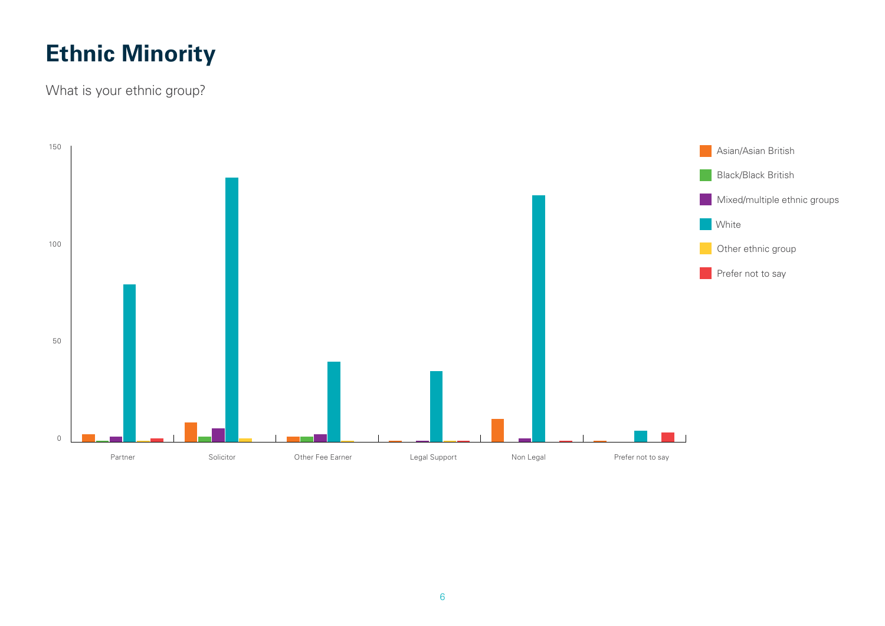# <span id="page-5-0"></span>**Ethnic Minority**

What is your ethnic group?

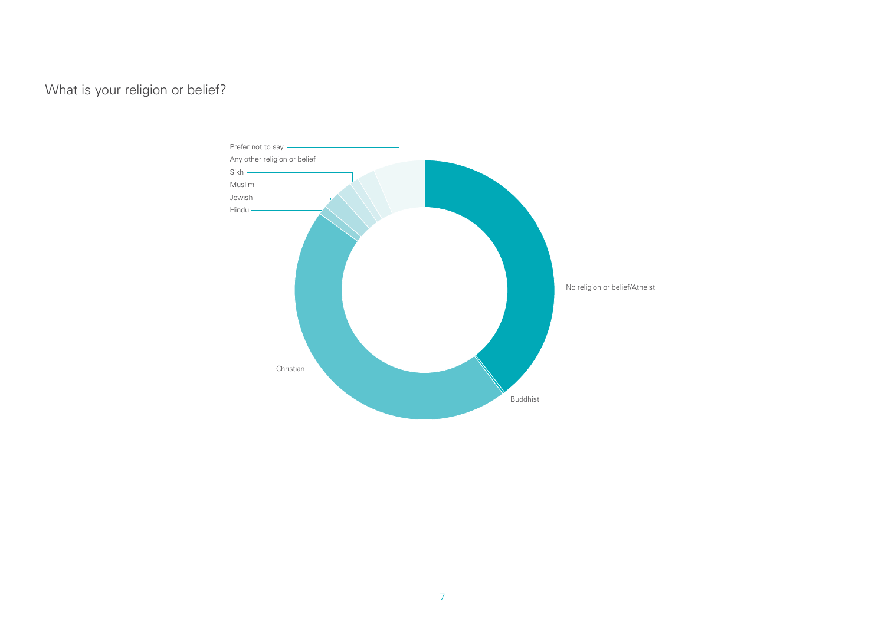<span id="page-6-0"></span>What is your religion or belief?

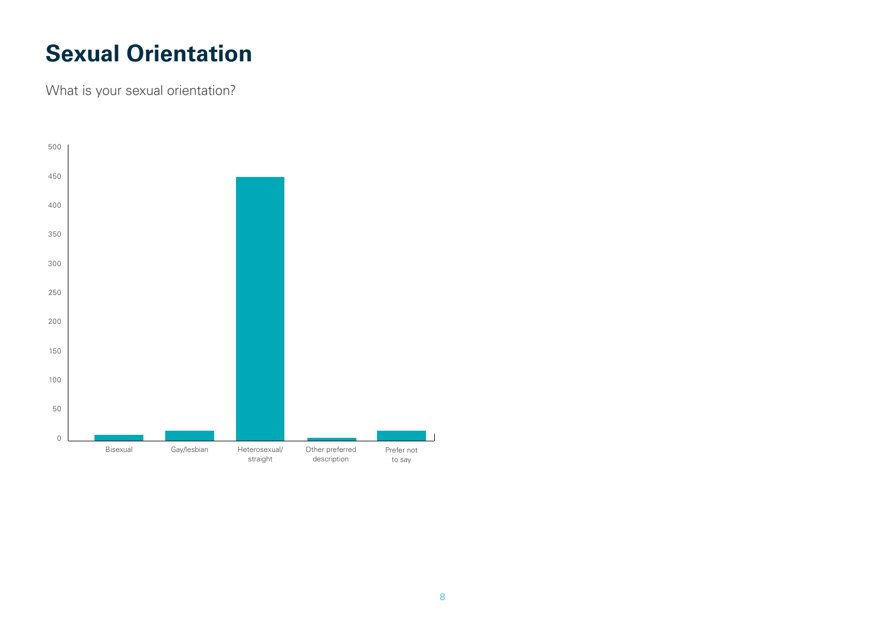#### <span id="page-7-0"></span>**Sexual Orientation**

What is your sexual orientation?

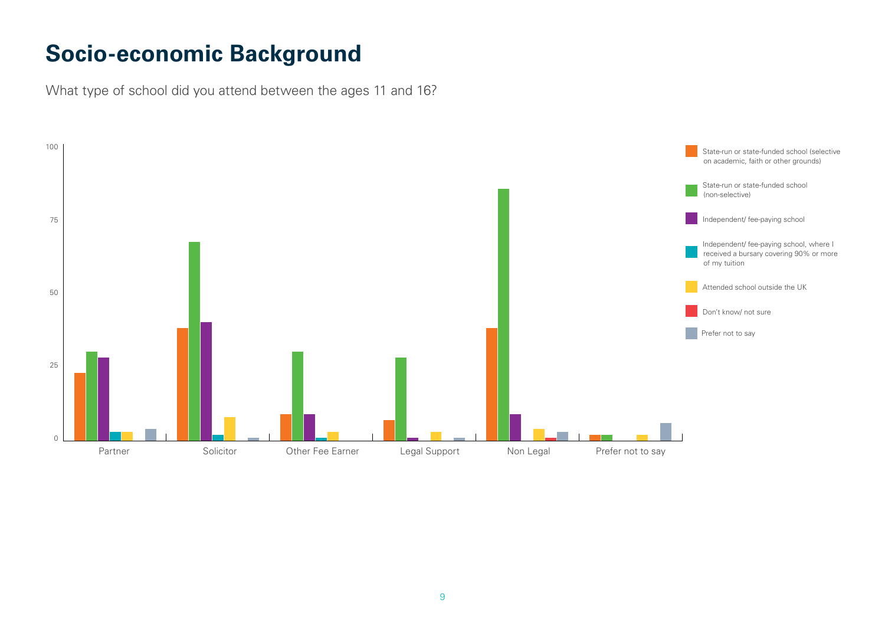#### <span id="page-8-0"></span>**Socio-economic Background**

What type of school did you attend between the ages 11 and 16?

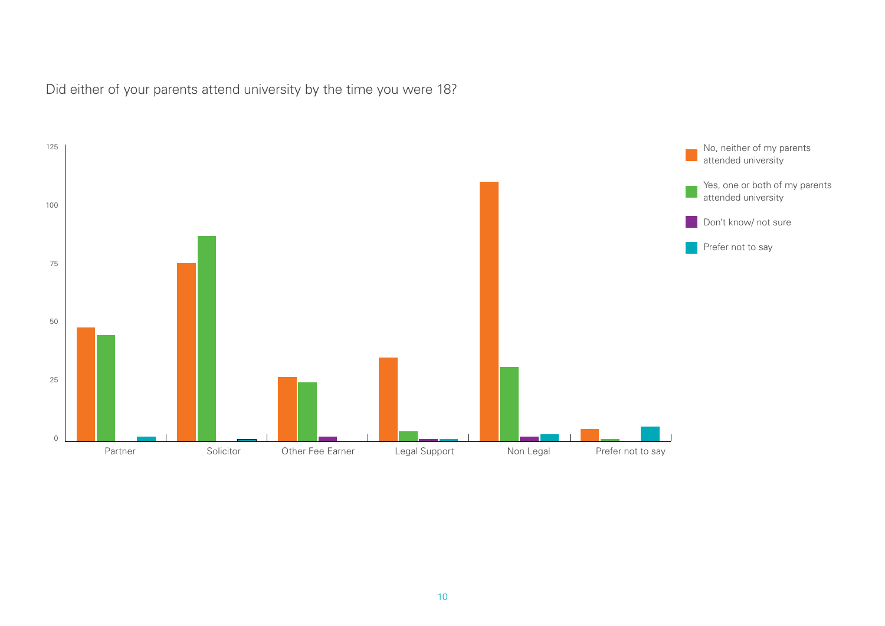<span id="page-9-0"></span>Did either of your parents attend university by the time you were 18?

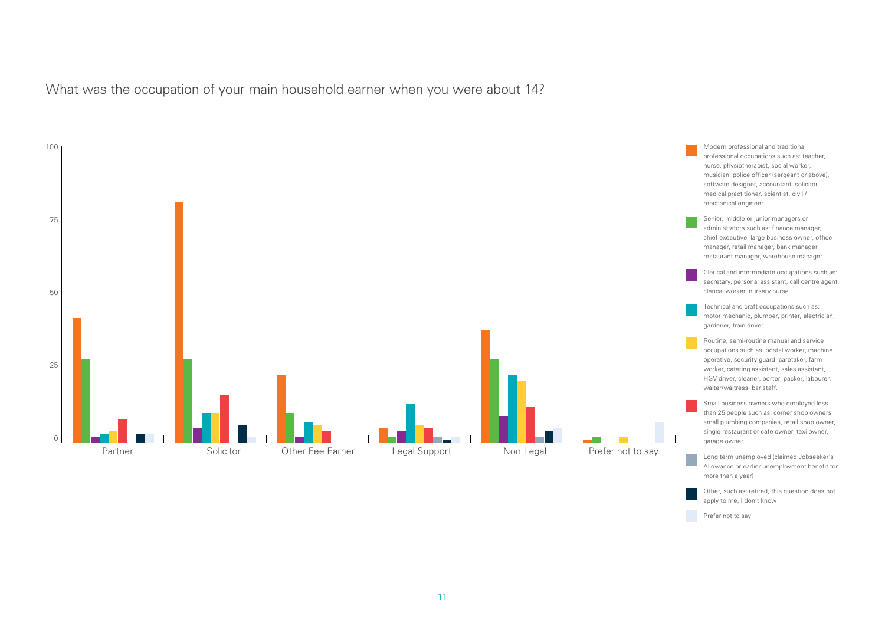<span id="page-10-0"></span>What was the occupation of your main household earner when you were about 14?



Other, such as: retired, this question does not

apply to me, I don't know Prefer not to say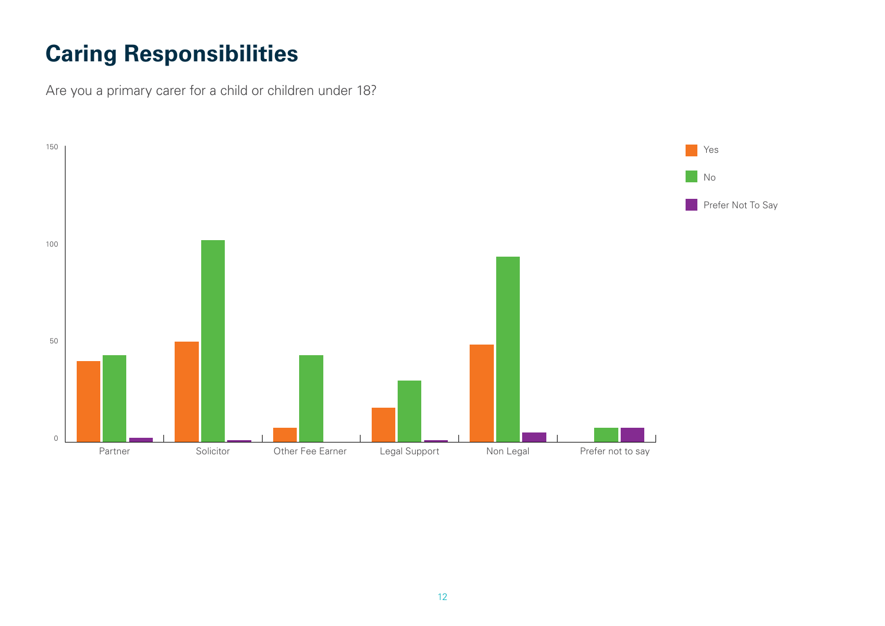# <span id="page-11-0"></span>**Caring Responsibilities**

Are you a primary carer for a child or children under 18?

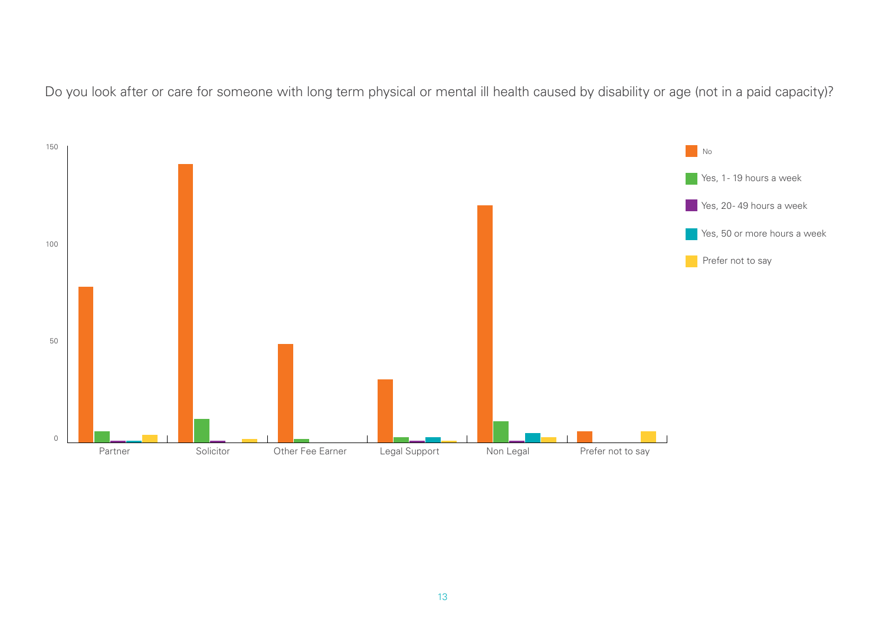<span id="page-12-0"></span>Do you look after or care for someone with long term physical or mental ill health caused by disability or age (not in a paid capacity)?